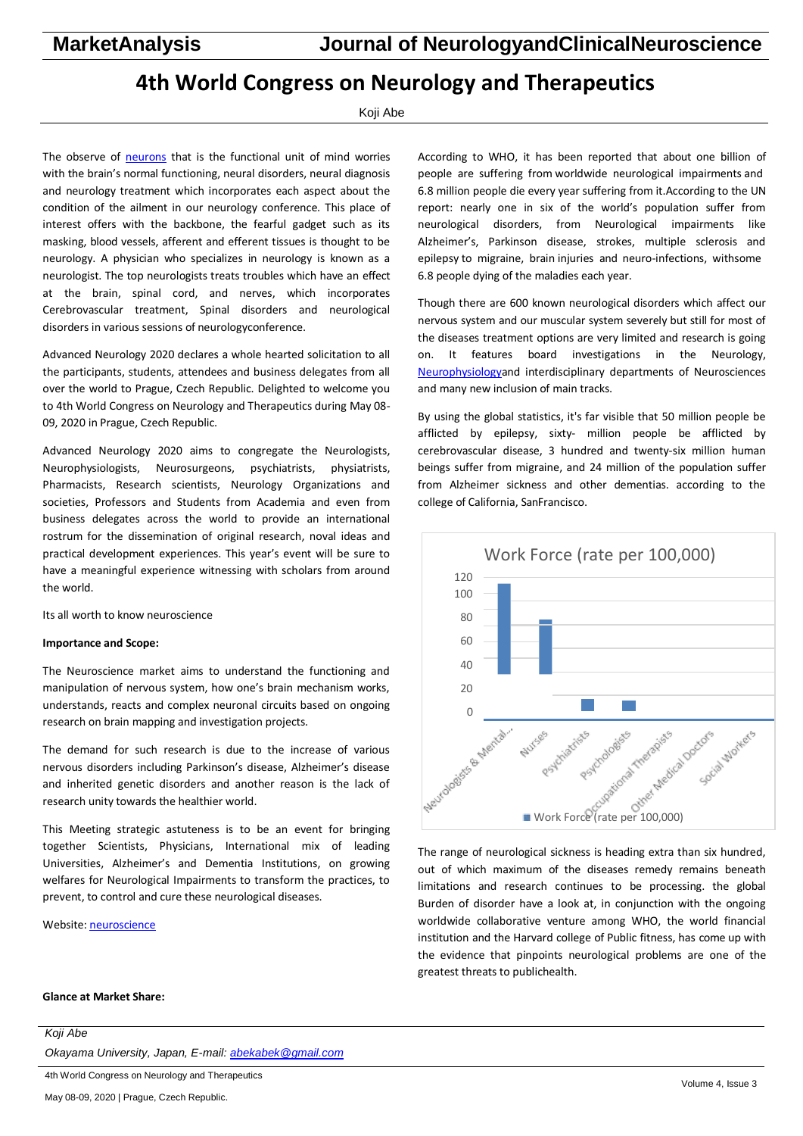# **4th World Congress on Neurology and Therapeutics**

## Koji Abe

The observe of [neurons](https://neurology.pulsusconference.com/) that is the functional unit of mind worries with the brain's normal functioning, neural disorders, neural diagnosis and neurology treatment which incorporates each aspect about the condition of the ailment in our neurology conference. This place of interest offers with the backbone, the fearful gadget such as its masking, blood vessels, afferent and efferent tissues is thought to be neurology. A physician who specializes in neurology is known as a neurologist. The top neurologists treats troubles which have an effect at the brain, spinal cord, and nerves, which incorporates Cerebrovascular treatment, Spinal disorders and neurological disorders in various sessions of neurologyconference.

Advanced Neurology 2020 declares a whole hearted solicitation to all the participants, students, attendees and business delegates from all over the world to Prague, Czech Republic. Delighted to welcome you to 4th World Congress on Neurology and Therapeutics during May 08- 09, 2020 in Prague, Czech Republic.

Advanced Neurology 2020 aims to congregate the Neurologists, Neurophysiologists, Neurosurgeons, psychiatrists, physiatrists, Pharmacists, Research scientists, Neurology Organizations and societies, Professors and Students from Academia and even from business delegates across the world to provide an international rostrum for the dissemination of original research, noval ideas and practical development experiences. This year's event will be sure to have a meaningful experience witnessing with scholars from around the world.

Its all worth to know neuroscience

## **Importance and Scope:**

The Neuroscience market aims to understand the functioning and manipulation of nervous system, how one's brain mechanism works, understands, reacts and complex neuronal circuits based on ongoing research on brain mapping and investigation projects.

The demand for such research is due to the increase of various nervous disorders including Parkinson's disease, Alzheimer's disease and inherited genetic disorders and another reason is the lack of research unity towards the healthier world.

This Meeting strategic astuteness is to be an event for bringing together Scientists, Physicians, International mix of leading Universities, Alzheimer's and Dementia Institutions, on growing welfares for Neurological Impairments to transform the practices, to prevent, to control and cure these neurological diseases.

Website[: neuroscience](https://neurology.pulsusconference.com/)

According to WHO, it has been reported that about one billion of people are suffering from worldwide neurological impairments and 6.8 million people die every year suffering from it.According to the UN report: nearly one in six of the world's population suffer from neurological disorders, from Neurological impairments like Alzheimer's, Parkinson disease, strokes, multiple sclerosis and epilepsy to migraine, brain injuries and neuro-infections, withsome 6.8 people dying of the maladies each year.

Though there are 600 known neurological disorders which affect our nervous system and our muscular system severely but still for most of the diseases treatment options are very limited and research is going on. It features board investigations in the Neurology, [Neurophysiologya](https://neurology.pulsusconference.com/)nd interdisciplinary departments of Neurosciences and many new inclusion of main tracks.

By using the global statistics, it's far visible that 50 million people be afflicted by epilepsy, sixty- million people be afflicted by cerebrovascular disease, 3 hundred and twenty-six million human beings suffer from migraine, and 24 million of the population suffer from Alzheimer sickness and other dementias. according to the college of California, SanFrancisco.



The range of neurological sickness is heading extra than six hundred, out of which maximum of the diseases remedy remains beneath limitations and research continues to be processing. the global Burden of disorder have a look at, in conjunction with the ongoing worldwide collaborative venture among WHO, the world financial institution and the Harvard college of Public fitness, has come up with the evidence that pinpoints neurological problems are one of the greatest threats to publichealth.

# **Glance at Market Share:**

| Koji Abe                                              |
|-------------------------------------------------------|
| Okayama University, Japan, E-mail: abekabek@gmail.com |
| 4th World Congress on Neurology and Therapeutics      |